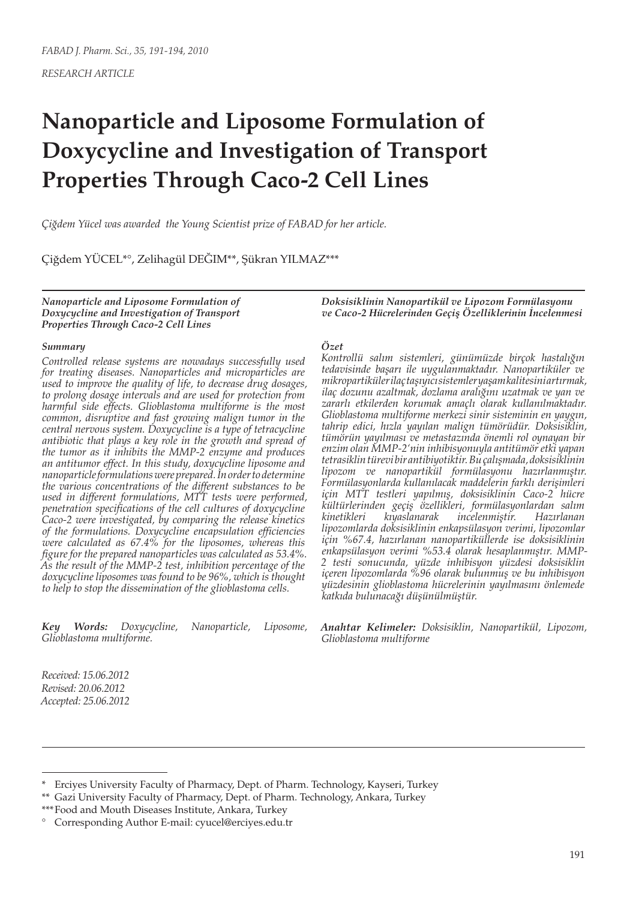# **Nanoparticle and Liposome Formulation of Doxycycline and Investigation of Transport Properties Through Caco-2 Cell Lines**

*Çiğdem Yücel was awarded the Young Scientist prize of FABAD for her article.*

Çiğdem YÜCEL\*°, Zelihagül DEĞIM\*\*, Şükran YILMAZ\*\*\*

*Nanoparticle and Liposome Formulation of Doxycycline and Investigation of Transport Properties Through Caco-2 Cell Lines*

#### *Summary*

*Controlled release systems are nowadays successfully used for treating diseases. Nanoparticles and microparticles are used to improve the quality of life, to decrease drug dosages, to prolong dosage intervals and are used for protection from harmful side effects. Glioblastoma multiforme is the most common, disruptive and fast growing malign tumor in the central nervous system. Doxycycline is a type of tetracycline antibiotic that plays a key role in the growth and spread of the tumor as it inhibits the MMP-2 enzyme and produces an antitumor effect. In this study, doxycycline liposome and nanoparticle formulations were prepared. In order to determine the various concentrations of the different substances to be used in different formulations, MTT tests were performed, penetration specifications of the cell cultures of doxycycline Caco-2 were investigated, by comparing the release kinetics of the formulations. Doxycycline encapsulation efficiencies were calculated as 67.4% for the liposomes, whereas this figure for the prepared nanoparticles was calculated as 53.4%. As the result of the MMP-2 test, inhibition percentage of the doxycycline liposomes was found to be 96%, which is thought to help to stop the dissemination of the glioblastoma cells.* 

*Key Words: Doxycycline, Nanoparticle, Liposome, Glioblastoma multiforme.*

*Doksisiklinin Nanopartikül ve Lipozom Formülasyonu ve Caco-2 Hücrelerinden Geçiş Özelliklerinin İncelenmesi*

### *Özet*

*Kontrollü salım sistemleri, günümüzde birçok hastalığın tedavisinde başarı ile uygulanmaktadır. Nanopartiküler ve mikropartiküler ilaç taşıyıcı sistemler yaşam kalitesini artırmak, ilaç dozunu azaltmak, dozlama aralığını uzatmak ve yan ve zararlı etkilerden korumak amaçlı olarak kullanılmaktadır. Glioblastoma multiforme merkezi sinir sisteminin en yaygın, tahrip edici, hızla yayılan malign tümörüdür. Doksisiklin, tümörün yayılması ve metastazında önemli rol oynayan bir enzim olan MMP-2'nin inhibisyonuyla antitümör etki yapan tetrasiklin türevi bir antibiyotiktir. Bu çalışmada, doksisiklinin lipozom ve nanopartikül formülasyonu hazırlanmıştır. Formülasyonlarda kullanılacak maddelerin farklı derişimleri için MTT testleri yapılmış, doksisiklinin Caco-2 hücre kültürlerinden geçiş özellikleri, formülasyonlardan salım kinetikleri kıyaslanarak incelenmiştir. Hazırlanan lipozomlarda doksisiklinin enkapsülasyon verimi, lipozomlar için %67.4, hazırlanan nanopartiküllerde ise doksisiklinin enkapsülasyon verimi %53.4 olarak hesaplanmıştır. MMP-2 testi sonucunda, yüzde inhibisyon yüzdesi doksisiklin içeren lipozomlarda %96 olarak bulunmuş ve bu inhibisyon yüzdesinin glioblastoma hücrelerinin yayılmasını önlemede katkıda bulunacağı düşünülmüştür.*

*Anahtar Kelimeler: Doksisiklin, Nanopartikül, Lipozom, Glioblastoma multiforme*

*Received: 15.06.2012 Revised: 20.06.2012 Accepted: 25.06.2012*

<sup>\*</sup> Erciyes University Faculty of Pharmacy, Dept. of Pharm. Technology, Kayseri, Turkey

<sup>\*\*</sup> Gazi University Faculty of Pharmacy, Dept. of Pharm. Technology, Ankara, Turkey

<sup>\*\*\*</sup>Food and Mouth Diseases Institute, Ankara, Turkey

<sup>°</sup> Corresponding Author E-mail: cyucel@erciyes.edu.tr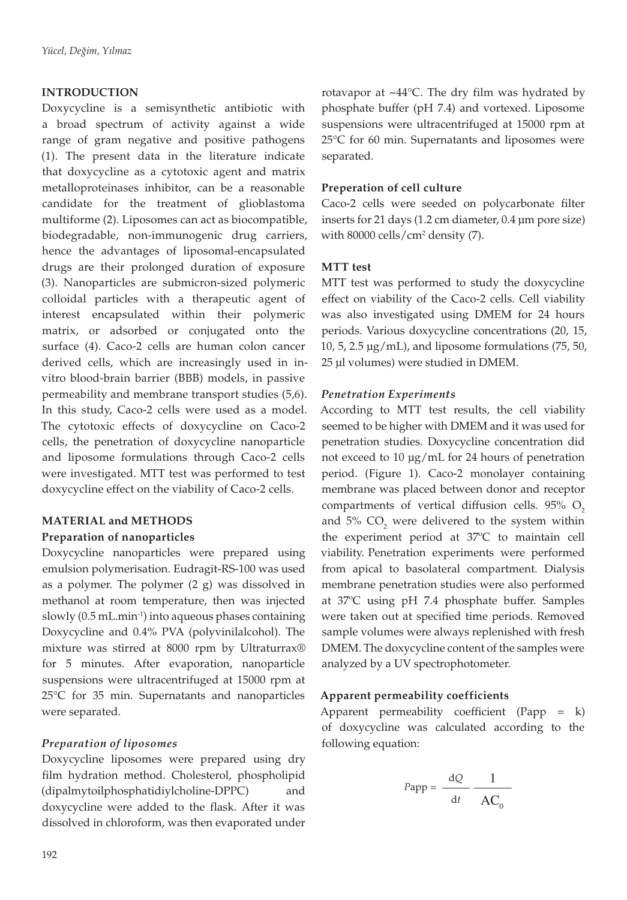### **INTRODUCTION**

Doxycycline is a semisynthetic antibiotic with a broad spectrum of activity against a wide range of gram negative and positive pathogens (1). The present data in the literature indicate that doxycycline as a cytotoxic agent and matrix metalloproteinases inhibitor, can be a reasonable candidate for the treatment of glioblastoma multiforme (2). Liposomes can act as biocompatible, biodegradable, non-immunogenic drug carriers, hence the advantages of liposomal-encapsulated drugs are their prolonged duration of exposure (3). Nanoparticles are submicron-sized polymeric colloidal particles with a therapeutic agent of interest encapsulated within their polymeric matrix, or adsorbed or conjugated onto the surface (4). Caco-2 cells are human colon cancer derived cells, which are increasingly used in invitro blood-brain barrier (BBB) models, in passive permeability and membrane transport studies (5,6). In this study, Caco-2 cells were used as a model. The cytotoxic effects of doxycycline on Caco-2 cells, the penetration of doxycycline nanoparticle and liposome formulations through Caco-2 cells were investigated. MTT test was performed to test doxycycline effect on the viability of Caco-2 cells.

# **MATERIAL and METHODS Preparation of nanoparticles**

Doxycycline nanoparticles were prepared using emulsion polymerisation. Eudragit-RS-100 was used as a polymer. The polymer (2 g) was dissolved in methanol at room temperature, then was injected slowly  $(0.5 \text{ mL.min}^{-1})$  into aqueous phases containing Doxycycline and 0.4% PVA (polyvinilalcohol). The mixture was stirred at 8000 rpm by Ultraturrax® for 5 minutes. After evaporation, nanoparticle suspensions were ultracentrifuged at 15000 rpm at 25°C for 35 min. Supernatants and nanoparticles were separated.

## *Preparation of liposomes*

Doxycycline liposomes were prepared using dry film hydration method. Cholesterol, phospholipid (dipalmytoilphosphatidiylcholine-DPPC) and doxycycline were added to the flask. After it was dissolved in chloroform, was then evaporated under

rotavapor at  $\sim$ 44°C. The dry film was hydrated by phosphate buffer (pH 7.4) and vortexed. Liposome suspensions were ultracentrifuged at 15000 rpm at 25°C for 60 min. Supernatants and liposomes were separated.

#### **Preperation of cell culture**

Caco-2 cells were seeded on polycarbonate filter inserts for 21 days (1.2 cm diameter, 0.4 µm pore size) with 80000 cells/cm2 density (7).

#### **MTT test**

MTT test was performed to study the doxycycline effect on viability of the Caco-2 cells. Cell viability was also investigated using DMEM for 24 hours periods. Various doxycycline concentrations (20, 15, 10, 5, 2.5  $\mu$ g/mL), and liposome formulations (75, 50, 25 µl volumes) were studied in DMEM.

#### *Penetration Experiments*

According to MTT test results, the cell viability seemed to be higher with DMEM and it was used for penetration studies. Doxycycline concentration did not exceed to 10 µg/mL for 24 hours of penetration period. (Figure 1). Caco-2 monolayer containing membrane was placed between donor and receptor compartments of vertical diffusion cells.  $95\%$  O<sub>2</sub> and  $5\%$  CO<sub>2</sub> were delivered to the system within the experiment period at 37ºC to maintain cell viability. Penetration experiments were performed from apical to basolateral compartment. Dialysis membrane penetration studies were also performed at 37ºC using pH 7.4 phosphate buffer. Samples were taken out at specified time periods. Removed sample volumes were always replenished with fresh DMEM. The doxycycline content of the samples were analyzed by a UV spectrophotometer.

#### **Apparent permeability coefficients**

Apparent permeability coefficient (Papp = k) of doxycycline was calculated according to the following equation:

$$
Papp = \frac{dQ}{dt} - \frac{1}{AC_0}
$$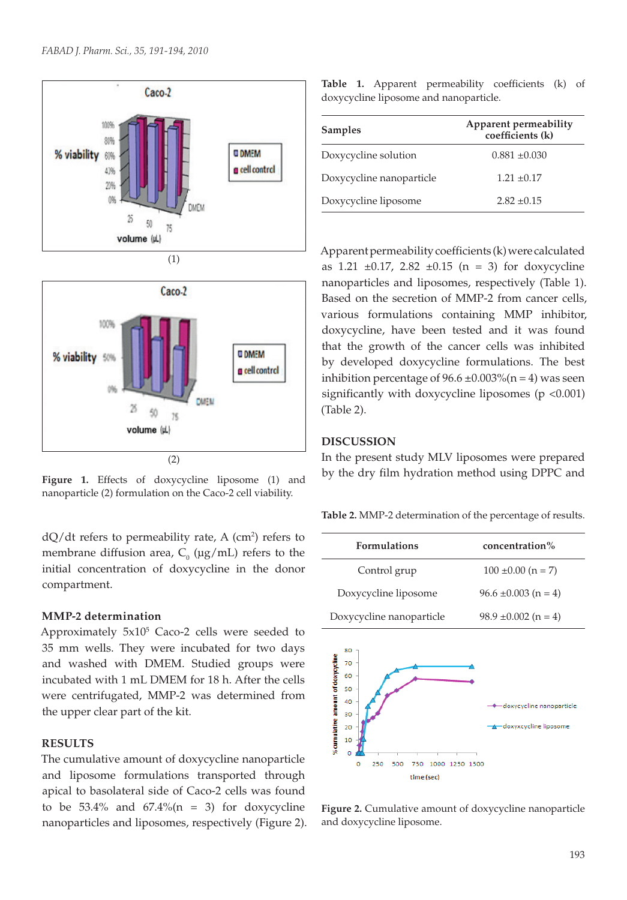



nanoparticle (2) formulation on the Caco-2 cell viability.

 $dQ/dt$  refers to permeability rate, A  $(cm<sup>2</sup>)$  refers to membrane diffusion area,  $C_0$  ( $\mu$ g/mL) refers to the initial concentration of doxycycline in the donor compartment.

#### **MMP-2 determination**

Approximately  $5x10^5$  Caco-2 cells were seeded to 35 mm wells. They were incubated for two days and washed with DMEM. Studied groups were incubated with 1 mL DMEM for 18 h. After the cells were centrifugated, MMP-2 was determined from the upper clear part of the kit.

#### **RESULTS**

The cumulative amount of doxycycline nanoparticle and liposome formulations transported through apical to basolateral side of Caco-2 cells was found to be  $53.4\%$  and  $67.4\%$  (n = 3) for doxycycline nanoparticles and liposomes, respectively (Figure 2).

|                                        |  |  |  | Table 1. Apparent permeability coefficients (k) of |  |  |  |  |
|----------------------------------------|--|--|--|----------------------------------------------------|--|--|--|--|
| doxycycline liposome and nanoparticle. |  |  |  |                                                    |  |  |  |  |

| <b>Samples</b>           | Apparent permeability<br>coefficients (k) |
|--------------------------|-------------------------------------------|
| Doxycycline solution     | $0.881 \pm 0.030$                         |
| Doxycycline nanoparticle | $1.21 \pm 0.17$                           |
| Doxycycline liposome     | $2.82 \pm 0.15$                           |

Apparent permeability coefficients (k) were calculated as  $1.21 \pm 0.17$ ,  $2.82 \pm 0.15$  (n = 3) for doxycycline nanoparticles and liposomes, respectively (Table 1). Based on the secretion of MMP-2 from cancer cells, various formulations containing MMP inhibitor, doxycycline, have been tested and it was found that the growth of the cancer cells was inhibited by developed doxycycline formulations. The best inhibition percentage of  $96.6 \pm 0.003\%$  (n = 4) was seen significantly with doxycycline liposomes ( $p$  <0.001) (Table 2).

#### **DISCUSSION**

In the present study MLV liposomes were prepared Figure 1. Effects of doxycycline liposome (1) and by the dry film hydration method using DPPC and

**Table 2.** MMP-2 determination of the percentage of results.

| <b>Formulations</b>      | concentration%           |
|--------------------------|--------------------------|
| Control grup             | $100 \pm 0.00$ (n = 7)   |
| Doxycycline liposome     | $96.6 \pm 0.003$ (n = 4) |
| Doxycycline nanoparticle | $98.9 \pm 0.002$ (n = 4) |



**Figure 2.** Cumulative amount of doxycycline nanoparticle and doxycycline liposome.